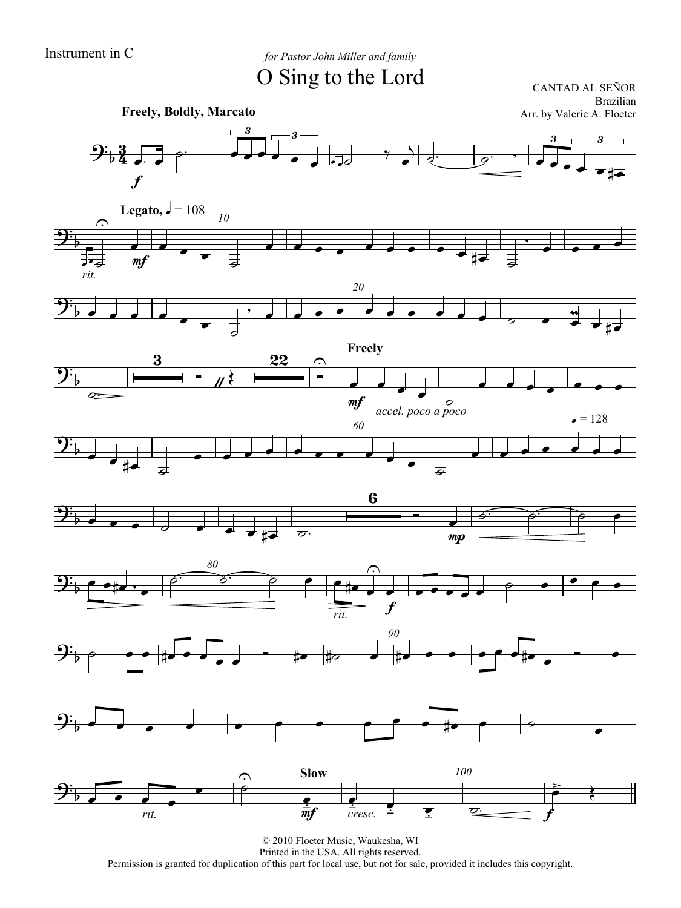Instrument in C *for Pastor John Miller and family* O Sing to the Lord

CANTAD AL SEÑOR Brazilian

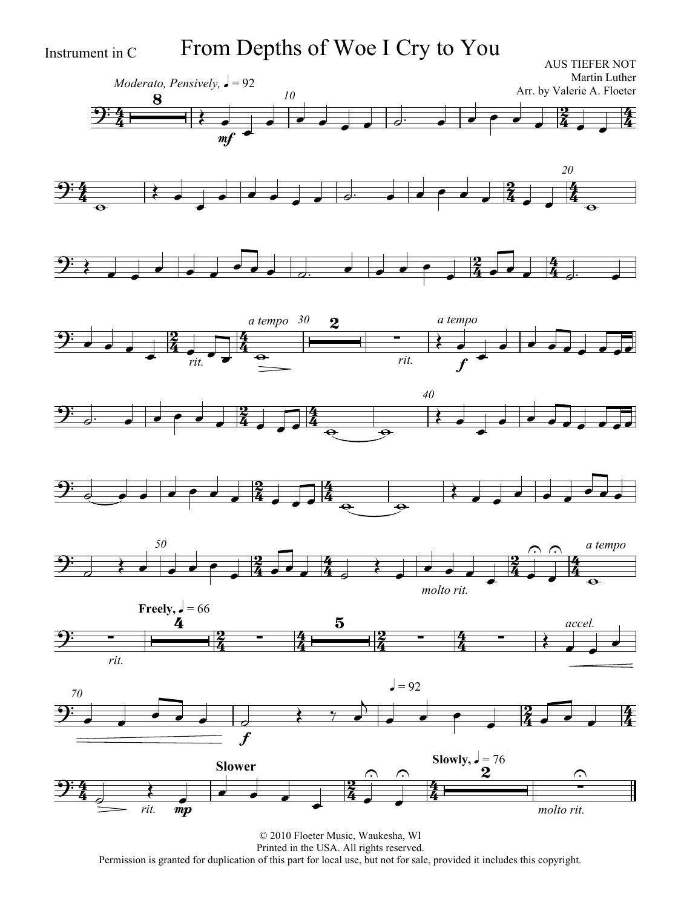Instrument in C From Depths of Woe I Cry to You

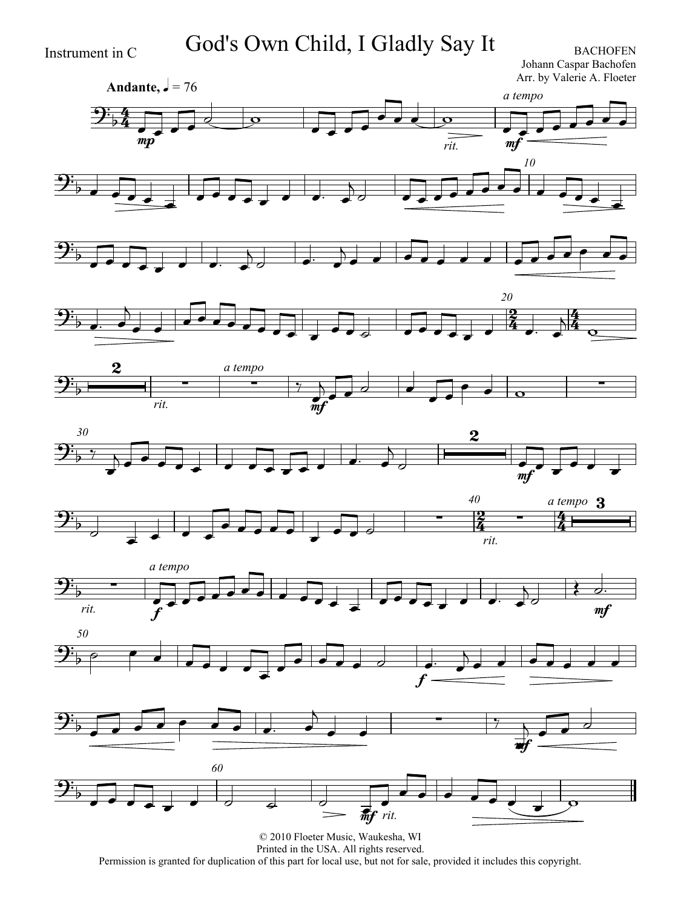Instrument in C God's Own Child, I Gladly Say It BACHOFEN

Johann Caspar Bachofen Arr. by Valerie A. Floeter

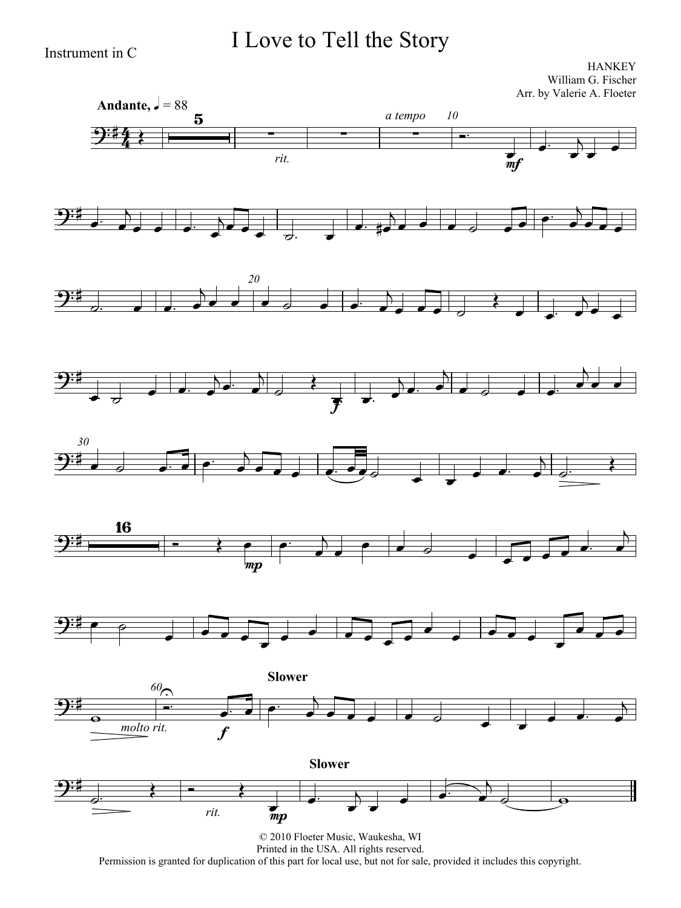### I Love to Tell the Story

Instrument in C

**HANKEY** William G. Fischer Arr. by Valerie A. Floeter

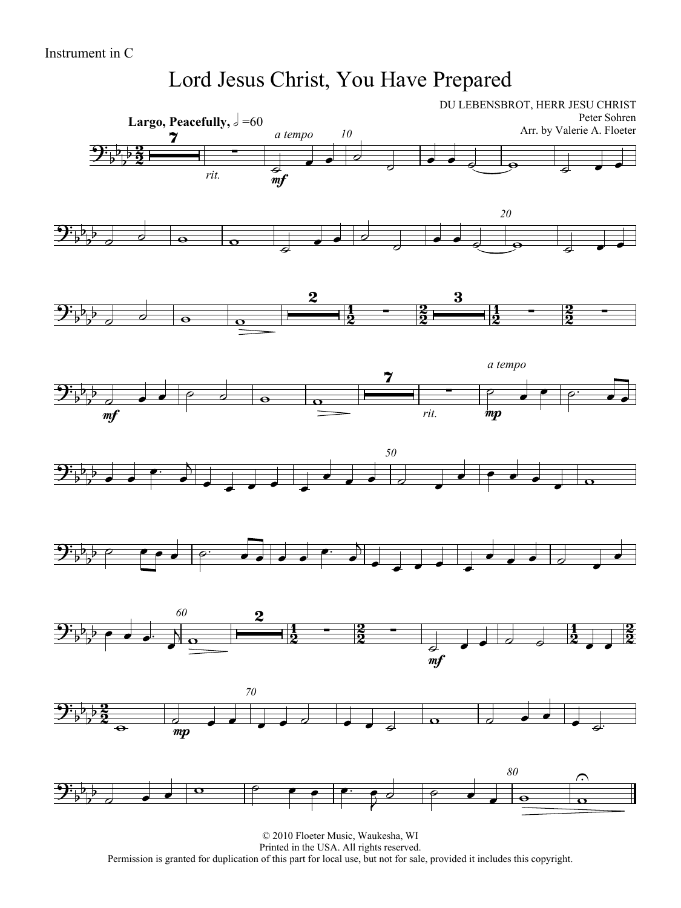#### Lord Jesus Christ, You Have Prepared

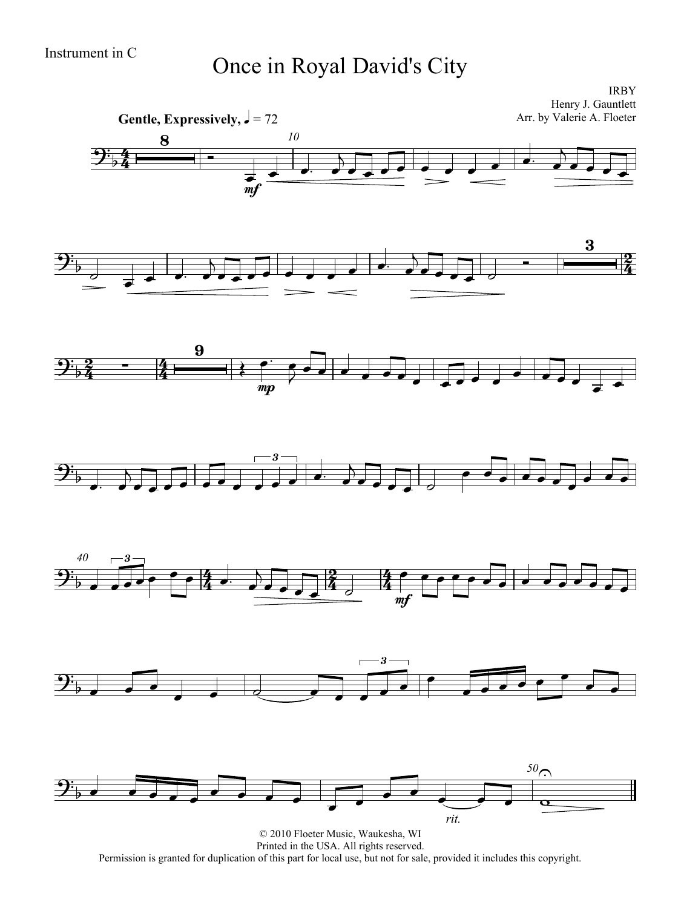# Instrument in C<br>
Once in Royal David's City

IRBY

4  $\frac{4}{4}$ **Gentle, Expressively,**  $\sqrt{ } = 72$ Henry J. Gauntlett Arr. by Valerie A. Floeter *10*  $\frac{1}{2}$  $\frac{8}{\sqrt{1-\frac{1}{2}}}$  $\vec{m}$  $\overline{a}$   $\overline{a}$   $\overline{a}$   $\overline{a}$   $\overline{a}$  $\overline{\phantom{a}}$   $\overline{A}$  $\overrightarrow{ }$  $\frac{2}{4}$   $\overline{z}$  $\overrightarrow{z}$  $\overline{\phantom{a}}$   $\overline{B}$  $\begin{array}{|c|c|c|c|c|}\hline \rule{0pt}{1ex}\rule{0pt}{2ex} & \rule{0pt}{2ex} \rule{0pt}{2ex} \rule{0pt}{2ex} \rule{0pt}{2ex} & \rule{0pt}{2ex} \rule{0pt}{2ex} \rule{0pt}{2ex} \rule{0pt}{2ex} \rule{0pt}{2ex} \rule{0pt}{2ex} \rule{0pt}{2ex} \rule{0pt}{2ex} \rule{0pt}{2ex} \rule{0pt}{2ex} \rule{0pt}{2ex} \rule{0pt}{2ex} \rule{0pt}{2ex} \rule{0pt}{2ex} \rule{0pt}{2ex} \rule{0pt}{2ex} \rule$ <u>2</u>  $\frac{2}{4}$  $\overline{4}$  $9\frac{9}{2}$  - 4  $\overline{\blacklozenge}$ mp  $\overline{\cdot}$   $\overline{\cdot}$   $\overrightarrow{z}$  $\overline{\cdot}$  $\mathbf{\mathcal{\hat{F}}}_{\flat}$  $\overline{\phantom{a}}$  $\overline{N}$  $\frac{1}{\sqrt{2}}$  , and the state of  $\frac{1}{\sqrt{2}}$ 3  $\overrightarrow{ }$  $\overline{A}$  $\overrightarrow{a}$  $\overrightarrow{c}$  $\overrightarrow{ }$ *40*  $\frac{1}{2}$  $\frac{4}{4}$ <u>2</u>  $\frac{2}{4}$  $\frac{1}{2}$  $9\frac{1}{2}$ ,  $\frac{1}{2}$ ,  $\frac{4}{4}$ ,  $\frac{1}{2}$ ,  $\frac{2}{4}$ ,  $\frac{4}{4}$ 3  $\overline{\phantom{a}}$  $\overline{\phantom{a}}$  $\frac{1}{2}$   $\frac{1}{4}$   $\frac{1}{2}$   $\frac{1}{2}$   $\frac{1}{2}$   $\frac{1}{2}$   $\frac{1}{2}$   $\frac{1}{2}$   $\frac{1}{2}$   $\frac{1}{2}$   $\frac{1}{2}$   $\frac{1}{2}$   $\frac{1}{2}$   $\frac{1}{2}$   $\frac{1}{2}$   $\frac{1}{2}$   $\frac{1}{2}$   $\frac{1}{2}$   $\frac{1}{2}$   $\frac{1}{2}$   $\frac{1}{2}$   $\frac{1}{2}$   $\frac{1}{\sqrt{1-\frac{1}{2}}}\left\{ \frac{1}{\sqrt{1-\frac{1}{2}}}\left( \frac{1}{\sqrt{1-\frac{1}{2}}}\left( \frac{1}{\sqrt{1-\frac{1}{2}}}\left( \frac{1}{\sqrt{1-\frac{1}{2}}}\left( \frac{1}{\sqrt{1-\frac{1}{2}}}\left( \frac{1}{\sqrt{1-\frac{1}{2}}}\left( \frac{1}{\sqrt{1-\frac{1}{2}}}\left( \frac{1}{\sqrt{1-\frac{1}{2}}}\left( \frac{1}{\sqrt{1-\frac{1}{2}}}\left( \frac{1}{\sqrt{1-\frac{1}{2}}}\right) \right) \right) \right) \$  $9\frac{1}{2}$  $\overrightarrow{a}$ 3  $\overline{\phantom{a}}$  $\overline{\phantom{a}}$  $\sqrt{2}$  $\overrightarrow{\cdot}$ *50*  $9\frac{1}{2}$  $\overrightarrow{a}$  $\overline{\phantom{a}}$ *rit.*  $\overline{\phantom{0}}$  $\overline{\phantom{a}}$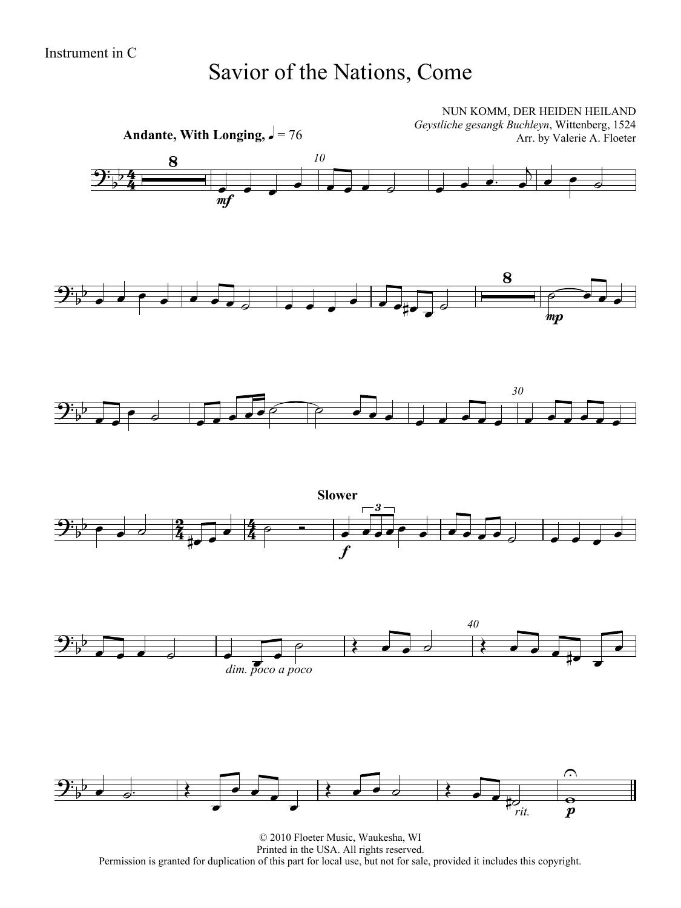#### Savior of the Nations, Come



© 2010 Floeter Music, Waukesha, WI Printed in the USA. All rights reserved. Permission is granted for duplication of this part for local use, but not for sale, provided it includes this copyright.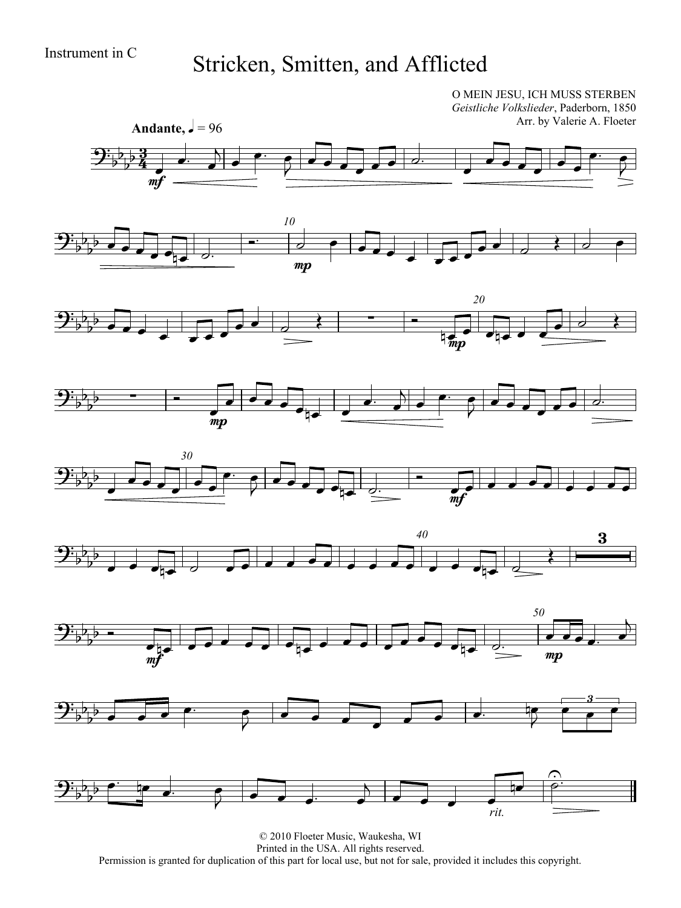## Instrument in C<br>Stricken, Smitten, and Afflicted

O MEIN JESU, ICH MUSS STERBEN *Geistliche Volkslieder*, Paderborn, 1850 Arr. by Valerie A. Floeter

















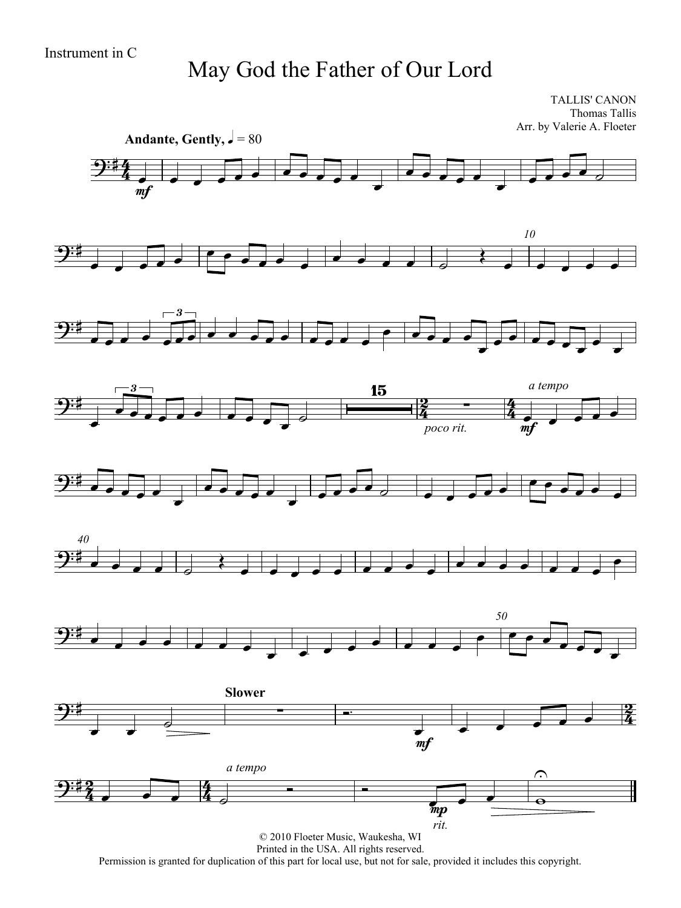#### May God the Father of Our Lord

TALLIS' CANON Thomas Tallis Arr. by Valerie A. Floeter



Printed in the USA. All rights reserved.

Permission is granted for duplication of this part for local use, but not for sale, provided it includes this copyright.